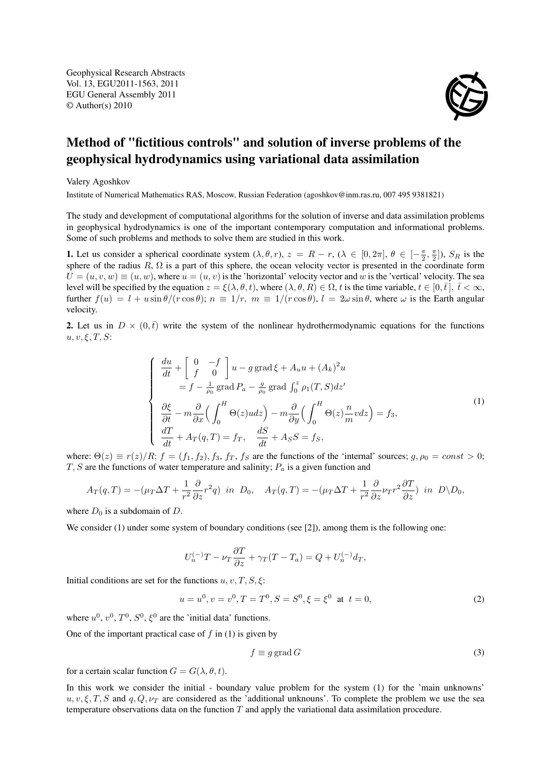Geophysical Research Abstracts Vol. 13, EGU2011-1563, 2011 EGU General Assembly 2011 © Author(s) 2010

## Method of "fictitious controls" and solution of inverse problems of the geophysical hydrodynamics using variational data assimilation

Valery Agoshkov

Institute of Numerical Mathematics RAS, Moscow, Russian Federation (agoshkov@inm.ras.ru, 007 495 9381821)

The study and development of computational algorithms for the solution of inverse and data assimilation problems in geophysical hydrodynamics is one of the important contemporary computation and informational problems. Some of such problems and methods to solve them are studied in this work.

**1.** Let us consider a spherical coordinate system  $(\lambda, \theta, r)$ ,  $z = R - r$ ,  $(\lambda \in [0, 2\pi], \theta \in [-\frac{\pi}{2}, \frac{\pi}{2}]$ ,  $S_R$  is the sphere of the radius  $R$ ,  $\Omega$  is a part of this sphere, the ocean velocity vector is presented in the coordinate form  $U = (u, v, w) \equiv (u, w)$ , where  $u = (u, v)$  is the 'horizontal' velocity vector and w is the 'vertical' velocity. The sea level will be specified by the equation  $z = \xi(\lambda, \theta, t)$ , where  $(\lambda, \theta, R) \in \Omega$ , t is the time variable,  $t \in [0, \bar{t}], \bar{t} < \infty$ , further  $f(u) = l + u \sin \theta / (r \cos \theta); n \equiv 1/r, m \equiv 1 / (r \cos \theta), l = 2\omega \sin \theta$ , where  $\omega$  is the Earth angular velocity.

2. Let us in  $D \times (0, \bar{t})$  write the system of the nonlinear hydrothermodynamic equations for the functions  $u, v, \xi, T, S$ :

$$
\begin{cases}\n\frac{du}{dt} + \left[ \int_{0}^{R} 0 \right] u - g \operatorname{grad} \xi + A_u u + (A_k)^2 u \\
= f - \frac{1}{\rho_0} \operatorname{grad} P_a - \frac{g}{\rho_0} \operatorname{grad} \int_{0}^{z} \rho_1(T, S) dz' \\
\frac{\partial \xi}{\partial t} - m \frac{\partial}{\partial x} \Big( \int_{0}^{H} \Theta(z) u dz \Big) - m \frac{\partial}{\partial y} \Big( \int_{0}^{H} \Theta(z) \frac{n}{m} v dz \Big) = f_3, \\
\frac{dT}{dt} + A_T(q, T) = f_T, \quad \frac{dS}{dt} + A_S S = f_S,\n\end{cases} \tag{1}
$$

where:  $\Theta(z) \equiv r(z)/R$ ;  $f = (f_1, f_2), f_3, f_T, f_S$  are the functions of the 'internal' sources;  $g, \rho_0 = const > 0$ ;  $T, S$  are the functions of water temperature and salinity;  $P_a$  is a given function and

$$
A_T(q,T) = -(\mu_T \Delta T + \frac{1}{r^2} \frac{\partial}{\partial z} r^2 q) \text{ in } D_0, \quad A_T(q,T) = -(\mu_T \Delta T + \frac{1}{r^2} \frac{\partial}{\partial z} \nu_T r^2 \frac{\partial T}{\partial z}) \text{ in } D \backslash D_0,
$$

where  $D_0$  is a subdomain of D.

We consider (1) under some system of boundary conditions (see [2]), among them is the following one:

$$
U_n^{(-)}T - \nu_T \frac{\partial T}{\partial z} + \gamma_T (T - T_a) = Q + U_n^{(-)} d_T,
$$

Initial conditions are set for the functions  $u, v, T, S, \xi$ :

$$
u = u0, v = v0, T = T0, S = S0, \xi = \xi0 \text{ at } t = 0,
$$
 (2)

where  $u^0$ ,  $v^0$ ,  $T^0$ ,  $S^0$ ,  $\xi^0$  are the 'initial data' functions.

One of the important practical case of  $f$  in (1) is given by

$$
f \equiv g \operatorname{grad} G \tag{3}
$$

for a certain scalar function  $G = G(\lambda, \theta, t)$ .

In this work we consider the initial - boundary value problem for the system (1) for the 'main unknowns'  $u, v, \xi, T, S$  and  $q, Q, \nu_T$  are considered as the 'additional unknouns'. To complete the problem we use the sea temperature observations data on the function  $T$  and apply the variational data assimilation procedure.